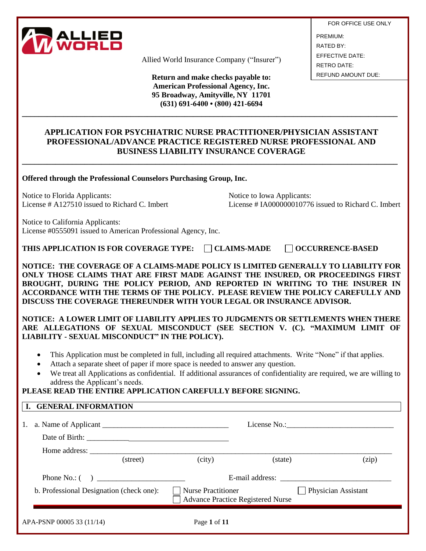

Allied World Insurance Company ("Insurer")

**Return and make checks payable to: American Professional Agency, Inc. 95 Broadway, Amityville, NY 11701 (631) 691-6400 • (800) 421-6694**

**\_\_\_\_\_\_\_\_\_\_\_\_\_\_\_\_\_\_\_\_\_\_\_\_\_\_\_\_\_\_\_\_\_\_\_\_\_\_\_\_\_\_\_\_\_\_\_\_\_\_\_\_\_\_\_\_\_\_\_\_\_\_\_\_\_\_\_\_\_\_\_\_\_\_\_\_\_\_\_\_\_\_\_\_\_\_\_\_\_\_**

FOR OFFICE USE ONLY PREMIUM: RATED BY: EFFECTIVE DATE: RETRO DATE: REFUND AMOUNT DUE:

### **APPLICATION FOR PSYCHIATRIC NURSE PRACTITIONER/PHYSICIAN ASSISTANT PROFESSIONAL/ADVANCE PRACTICE REGISTERED NURSE PROFESSIONAL AND BUSINESS LIABILITY INSURANCE COVERAGE**

**\_\_\_\_\_\_\_\_\_\_\_\_\_\_\_\_\_\_\_\_\_\_\_\_\_\_\_\_\_\_\_\_\_\_\_\_\_\_\_\_\_\_\_\_\_\_\_\_\_\_\_\_\_\_\_\_\_\_\_\_\_\_\_\_\_\_\_\_\_\_\_\_\_\_\_\_\_\_\_\_\_\_\_\_\_\_\_\_\_\_**

**Offered through the Professional Counselors Purchasing Group, Inc.**

Notice to Florida Applicants: Notice to Iowa Applicants:

License # A127510 issued to Richard C. Imbert License # IA000000010776 issued to Richard C. Imbert

Notice to California Applicants: License #0555091 issued to American Professional Agency, Inc.

**THIS APPLICATION IS FOR COVERAGE TYPE: ◯ CLAIMS-MADE ◯ OCCURRENCE-BASED** 

**NOTICE: THE COVERAGE OF A CLAIMS-MADE POLICY IS LIMITED GENERALLY TO LIABILITY FOR ONLY THOSE CLAIMS THAT ARE FIRST MADE AGAINST THE INSURED, OR PROCEEDINGS FIRST BROUGHT, DURING THE POLICY PERIOD, AND REPORTED IN WRITING TO THE INSURER IN ACCORDANCE WITH THE TERMS OF THE POLICY. PLEASE REVIEW THE POLICY CAREFULLY AND DISCUSS THE COVERAGE THEREUNDER WITH YOUR LEGAL OR INSURANCE ADVISOR.** 

**NOTICE: A LOWER LIMIT OF LIABILITY APPLIES TO JUDGMENTS OR SETTLEMENTS WHEN THERE ARE ALLEGATIONS OF SEXUAL MISCONDUCT (SEE SECTION V. (C). "MAXIMUM LIMIT OF LIABILITY - SEXUAL MISCONDUCT" IN THE POLICY).**

- This Application must be completed in full, including all required attachments. Write "None" if that applies.
- Attach a separate sheet of paper if more space is needed to answer any question.
- We treat all Applications as confidential. If additional assurances of confidentiality are required, we are willing to address the Applicant's needs.

### **PLEASE READ THE ENTIRE APPLICATION CAREFULLY BEFORE SIGNING.**

#### **I. GENERAL INFORMATION**

| 1. a. Name of Applicant                  |          |                                                                |         |                            |  |
|------------------------------------------|----------|----------------------------------------------------------------|---------|----------------------------|--|
|                                          |          |                                                                |         |                            |  |
|                                          | (street) | (city)                                                         | (state) | (zip)                      |  |
| Phone No.: $( )$                         |          |                                                                |         |                            |  |
| b. Professional Designation (check one): |          | $\Box$ Nurse Practitioner<br>Advance Practice Registered Nurse |         | <b>Physician Assistant</b> |  |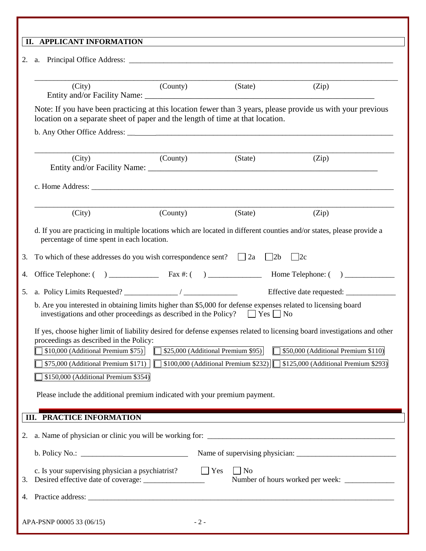| (City)                                                                                                                                                               | (County) | (State)                               | (Zip)                                                                                                                                                            |
|----------------------------------------------------------------------------------------------------------------------------------------------------------------------|----------|---------------------------------------|------------------------------------------------------------------------------------------------------------------------------------------------------------------|
| location on a separate sheet of paper and the length of time at that location.                                                                                       |          |                                       | Note: If you have been practicing at this location fewer than 3 years, please provide us with your previous                                                      |
|                                                                                                                                                                      |          |                                       |                                                                                                                                                                  |
| (City)                                                                                                                                                               | (County) | (State)                               | (Zip)                                                                                                                                                            |
|                                                                                                                                                                      |          |                                       |                                                                                                                                                                  |
| (City)                                                                                                                                                               | (County) | (State)                               | (Zip)                                                                                                                                                            |
| d. If you are practicing in multiple locations which are located in different counties and/or states, please provide a<br>percentage of time spent in each location. |          |                                       |                                                                                                                                                                  |
| To which of these addresses do you wish correspondence sent? $\Box$ 2a $\Box$ 2b<br>3.                                                                               |          |                                       | $\vert$ 2c                                                                                                                                                       |
| 4.                                                                                                                                                                   |          |                                       |                                                                                                                                                                  |
| 5.                                                                                                                                                                   |          |                                       |                                                                                                                                                                  |
| b. Are you interested in obtaining limits higher than \$5,000 for defense expenses related to licensing board                                                        |          |                                       |                                                                                                                                                                  |
| investigations and other proceedings as described in the Policy? $\Box$ Yes $\Box$ No                                                                                |          |                                       |                                                                                                                                                                  |
|                                                                                                                                                                      |          |                                       |                                                                                                                                                                  |
| proceedings as described in the Policy:<br>\$10,000 (Additional Premium \$75)                                                                                        |          | \$25,000 (Additional Premium \$95)    | If yes, choose higher limit of liability desired for defense expenses related to licensing board investigations and other<br>\$50,000 (Additional Premium \$110) |
| \$75,000 (Additional Premium \$171)                                                                                                                                  |          | $$100,000$ (Additional Premium \$232) | \$125,000 (Additional Premium \$293)                                                                                                                             |
| \$150,000 (Additional Premium \$354)                                                                                                                                 |          |                                       |                                                                                                                                                                  |
| Please include the additional premium indicated with your premium payment.                                                                                           |          |                                       |                                                                                                                                                                  |
|                                                                                                                                                                      |          |                                       |                                                                                                                                                                  |
| <b>III. PRACTICE INFORMATION</b>                                                                                                                                     |          |                                       |                                                                                                                                                                  |
| 2.                                                                                                                                                                   |          |                                       |                                                                                                                                                                  |
|                                                                                                                                                                      |          |                                       |                                                                                                                                                                  |
| c. Is your supervising physician a psychiatrist?<br>3.                                                                                                               |          | $\Box$ No<br>$\Box$ Yes               |                                                                                                                                                                  |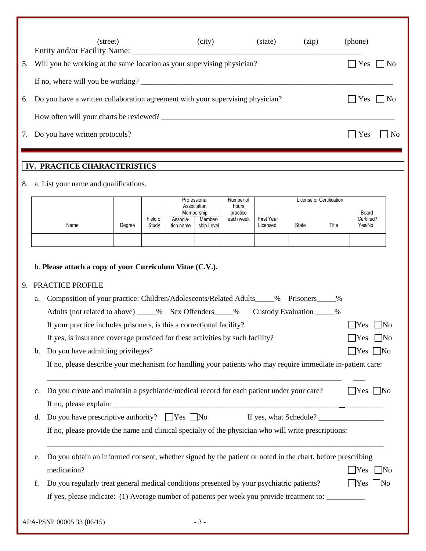|    | (street)<br>Entity and/or Facility Name:                                          | (city) | (state) | (zip) | (phone) |                |
|----|-----------------------------------------------------------------------------------|--------|---------|-------|---------|----------------|
| 5. | Will you be working at the same location as your supervising physician?           |        |         |       | l Yes   | $\Box$ No      |
|    | If no, where will you be working?                                                 |        |         |       |         |                |
|    | 6. Do you have a written collaboration agreement with your supervising physician? |        |         |       | Yes     | l INo          |
|    | How often will your charts be reviewed?                                           |        |         |       |         |                |
|    | 7. Do you have written protocols?                                                 |        |         |       | Yes     | N <sub>0</sub> |

# **IV. PRACTICE CHARACTERISTICS**

### 8. a. List your name and qualifications.

|      |        |                   |                       | Professional<br>Association<br>Membership | Number of<br>hours<br>practice |                        |       | License or Certification | Board                |
|------|--------|-------------------|-----------------------|-------------------------------------------|--------------------------------|------------------------|-------|--------------------------|----------------------|
| Name | Degree | Field of<br>Study | Associa-<br>tion name | Member-<br>ship Level                     | each week                      | First Year<br>Licensed | State | Title                    | Certified?<br>Yes/No |
|      |        |                   |                       |                                           |                                |                        |       |                          |                      |

# b. **Please attach a copy of your Curriculum Vitae (C.V.).**

## 9. PRACTICE PROFILE

| a.             | Composition of your practice: Children/Adolescents/Related Adults_____% Prisoners_____<br>$\%$              |                               |
|----------------|-------------------------------------------------------------------------------------------------------------|-------------------------------|
|                | Adults (not related to above) ____% Sex Offenders____% Custody Evaluation ____%                             |                               |
|                | If your practice includes prisoners, is this a correctional facility?                                       | Yes<br>$\n  1$ No             |
|                | If yes, is insurance coverage provided for these activities by such facility?                               | Yes<br>$\overline{\text{No}}$ |
| $\mathbf{b}$ . | Do you have admitting privileges?                                                                           | $\Box$ Yes $\Box$ No          |
|                | If no, please describe your mechanism for handling your patients who may require immediate in-patient care: |                               |
| $C_{\bullet}$  | Do you create and maintain a psychiatric/medical record for each patient under your care?                   | $Yes \mid No$                 |
|                |                                                                                                             |                               |
| d.             | Do you have prescriptive authority? $\Box$ Yes $\Box$ No<br>If yes, what Schedule?                          |                               |
|                | If no, please provide the name and clinical specialty of the physician who will write prescriptions:        |                               |
| e.             | Do you obtain an informed consent, whether signed by the patient or noted in the chart, before prescribing  |                               |
|                | medication?                                                                                                 | Yes<br> No                    |
| f.             | Do you regularly treat general medical conditions presented by your psychiatric patients?                   | $Yes$   No                    |
|                | If yes, please indicate: (1) Average number of patients per week you provide treatment to:                  |                               |
|                | APA-PSNP 00005 33 (06/15)<br>$-3-$                                                                          |                               |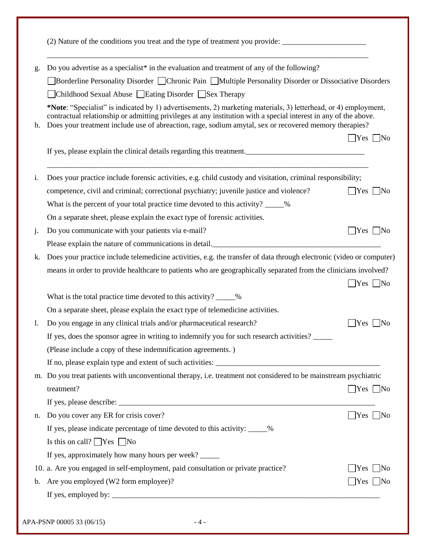| g.             | Do you advertise as a specialist* in the evaluation and treatment of any of the following?                                                                                                                                                                                                                                                    |                                        |
|----------------|-----------------------------------------------------------------------------------------------------------------------------------------------------------------------------------------------------------------------------------------------------------------------------------------------------------------------------------------------|----------------------------------------|
|                | Borderline Personality Disorder Chronic Pain Multiple Personality Disorder or Dissociative Disorders                                                                                                                                                                                                                                          |                                        |
|                | △Childhood Sexual Abuse □Eating Disorder □Sex Therapy                                                                                                                                                                                                                                                                                         |                                        |
| h.             | *Note: "Specialist" is indicated by 1) advertisements, 2) marketing materials, 3) letterhead, or 4) employment,<br>contractual relationship or admitting privileges at any institution with a special interest in any of the above.<br>Does your treatment include use of abreaction, rage, sodium amytal, sex or recovered memory therapies? |                                        |
|                |                                                                                                                                                                                                                                                                                                                                               | $\bigcap$ Yes $\bigcap$ No             |
|                | If yes, please explain the clinical details regarding this treatment.                                                                                                                                                                                                                                                                         |                                        |
| i.             | Does your practice include forensic activities, e.g. child custody and visitation, criminal responsibility;                                                                                                                                                                                                                                   |                                        |
|                | competence, civil and criminal; correctional psychiatry; juvenile justice and violence?                                                                                                                                                                                                                                                       | $Yes \mid No$                          |
|                | What is the percent of your total practice time devoted to this activity? ____%                                                                                                                                                                                                                                                               |                                        |
|                | On a separate sheet, please explain the exact type of forensic activities.                                                                                                                                                                                                                                                                    |                                        |
| $\mathbf{j}$ . | Do you communicate with your patients via e-mail?                                                                                                                                                                                                                                                                                             | $\Box$ Yes $\Box$ No                   |
|                | Please explain the nature of communications in detail.<br><u>Lease explain the nature of communications in detail</u>                                                                                                                                                                                                                         |                                        |
| k.             | Does your practice include telemedicine activities, e.g. the transfer of data through electronic (video or computer)                                                                                                                                                                                                                          |                                        |
|                | means in order to provide healthcare to patients who are geographically separated from the clinicians involved?                                                                                                                                                                                                                               |                                        |
|                |                                                                                                                                                                                                                                                                                                                                               | $Yes \mid No$                          |
|                | What is the total practice time devoted to this activity? _____%                                                                                                                                                                                                                                                                              |                                        |
|                | On a separate sheet, please explain the exact type of telemedicine activities.                                                                                                                                                                                                                                                                |                                        |
| 1.             | Do you engage in any clinical trials and/or pharmaceutical research?                                                                                                                                                                                                                                                                          | $\vert$ Yes $\vert$ No                 |
|                | If yes, does the sponsor agree in writing to indemnify you for such research activities?                                                                                                                                                                                                                                                      |                                        |
|                | (Please include a copy of these indemnification agreements.)                                                                                                                                                                                                                                                                                  |                                        |
|                |                                                                                                                                                                                                                                                                                                                                               |                                        |
|                | m. Do you treat patients with unconventional therapy, i.e. treatment not considered to be mainstream psychiatric                                                                                                                                                                                                                              |                                        |
|                | treatment?                                                                                                                                                                                                                                                                                                                                    | $\Box$ Yes $\Box$ No                   |
|                |                                                                                                                                                                                                                                                                                                                                               |                                        |
|                |                                                                                                                                                                                                                                                                                                                                               |                                        |
|                | Do you cover any ER for crisis cover?                                                                                                                                                                                                                                                                                                         |                                        |
|                | If yes, please indicate percentage of time devoted to this activity: ____%                                                                                                                                                                                                                                                                    |                                        |
|                | Is this on call? $\Box$ Yes $\Box$ No                                                                                                                                                                                                                                                                                                         |                                        |
|                | If yes, approximately how many hours per week?                                                                                                                                                                                                                                                                                                |                                        |
| n.             | 10. a. Are you engaged in self-employment, paid consultation or private practice?                                                                                                                                                                                                                                                             | $Yes$ No<br>$\bigcap$ Yes $\bigcap$ No |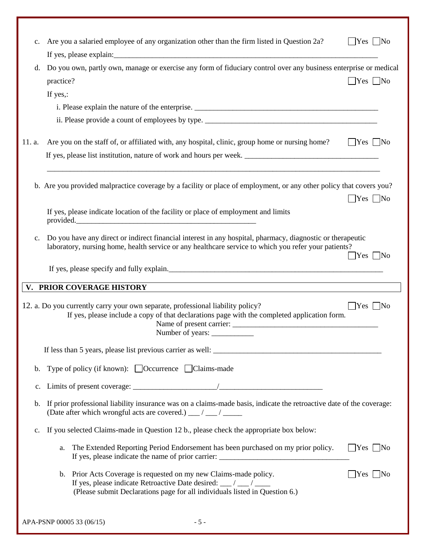| $c_{\cdot}$    | Are you a salaried employee of any organization other than the firm listed in Question 2a?                                                                                                                           | $Yes \mid No$               |
|----------------|----------------------------------------------------------------------------------------------------------------------------------------------------------------------------------------------------------------------|-----------------------------|
| d.             | Do you own, partly own, manage or exercise any form of fiduciary control over any business enterprise or medical<br>practice?                                                                                        | $Yes \nvert No$             |
|                | If yes,:                                                                                                                                                                                                             |                             |
|                |                                                                                                                                                                                                                      |                             |
|                |                                                                                                                                                                                                                      |                             |
| 11. a.         | Are you on the staff of, or affiliated with, any hospital, clinic, group home or nursing home?                                                                                                                       | $\Box$ Yes $\Box$ No        |
|                |                                                                                                                                                                                                                      |                             |
|                | b. Are you provided malpractice coverage by a facility or place of employment, or any other policy that covers you?                                                                                                  | $\gamma$ es $\Box$ No       |
|                | If yes, please indicate location of the facility or place of employment and limits<br>provided.                                                                                                                      |                             |
| c.             | Do you have any direct or indirect financial interest in any hospital, pharmacy, diagnostic or therapeutic<br>laboratory, nursing home, health service or any healthcare service to which you refer your patients?   | $Yes \mid No$               |
|                | If yes, please specify and fully explain.                                                                                                                                                                            |                             |
|                | V. PRIOR COVERAGE HISTORY                                                                                                                                                                                            |                             |
|                | 12. a. Do you currently carry your own separate, professional liability policy?<br>If yes, please include a copy of that declarations page with the completed application form.<br>Number of years:                  | $\text{Yes} \mid \text{No}$ |
|                |                                                                                                                                                                                                                      |                             |
| b.             | Type of policy (if known): □ Occurrence □ Claims-made                                                                                                                                                                |                             |
| $\mathbf{c}$ . |                                                                                                                                                                                                                      |                             |
| b.             | If prior professional liability insurance was on a claims-made basis, indicate the retroactive date of the coverage:<br>(Date after which wrongful acts are covered.) __/ __/ ____                                   |                             |
| $\mathbf{c}$ . | If you selected Claims-made in Question 12 b., please check the appropriate box below:                                                                                                                               |                             |
|                | The Extended Reporting Period Endorsement has been purchased on my prior policy.<br>a.                                                                                                                               | $\Box$ Yes $\Box$ No        |
|                |                                                                                                                                                                                                                      |                             |
|                | Prior Acts Coverage is requested on my new Claims-made policy.<br>b.<br>If yes, please indicate Retroactive Date desired: __/ __/ ___<br>(Please submit Declarations page for all individuals listed in Question 6.) | $ Yes $ No                  |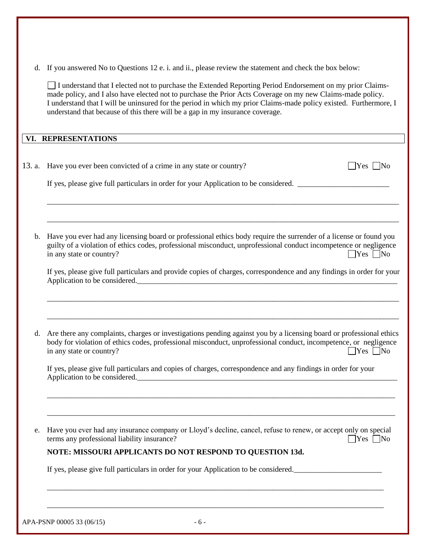d. If you answered No to Questions 12 e. i. and ii., please review the statement and check the box below:

I understand that I elected not to purchase the Extended Reporting Period Endorsement on my prior Claimsmade policy, and I also have elected not to purchase the Prior Acts Coverage on my new Claims-made policy. I understand that I will be uninsured for the period in which my prior Claims-made policy existed. Furthermore, I understand that because of this there will be a gap in my insurance coverage.

**VI. REPRESENTATIONS** 

|             | 13. a. Have you ever been convicted of a crime in any state or country?<br> Yes                                                                                                                                                                                                                                                                                |  |  |  |  |  |  |
|-------------|----------------------------------------------------------------------------------------------------------------------------------------------------------------------------------------------------------------------------------------------------------------------------------------------------------------------------------------------------------------|--|--|--|--|--|--|
|             | If yes, please give full particulars in order for your Application to be considered.                                                                                                                                                                                                                                                                           |  |  |  |  |  |  |
|             |                                                                                                                                                                                                                                                                                                                                                                |  |  |  |  |  |  |
| b.          | Have you ever had any licensing board or professional ethics body require the surrender of a license or found you<br>guilty of a violation of ethics codes, professional misconduct, unprofessional conduct incompetence or negligence<br>in any state or country?<br>$\Box$ Yes $\Box$ No                                                                     |  |  |  |  |  |  |
|             | If yes, please give full particulars and provide copies of charges, correspondence and any findings in order for your<br>Application to be considered.<br><u>Letter and the constant of the construction</u> of the constant of the constant of the constant of the constant of the constant of the constant of the constant of the constant of the constant o |  |  |  |  |  |  |
|             |                                                                                                                                                                                                                                                                                                                                                                |  |  |  |  |  |  |
| $d_{\cdot}$ | Are there any complaints, charges or investigations pending against you by a licensing board or professional ethics<br>body for violation of ethics codes, professional misconduct, unprofessional conduct, incompetence, or negligence<br>in any state or country?<br>$\exists$ Yes $\Box$ No                                                                 |  |  |  |  |  |  |
|             | If yes, please give full particulars and copies of charges, correspondence and any findings in order for your<br>Application to be considered.                                                                                                                                                                                                                 |  |  |  |  |  |  |
|             |                                                                                                                                                                                                                                                                                                                                                                |  |  |  |  |  |  |
| e.          | Have you ever had any insurance company or Lloyd's decline, cancel, refuse to renew, or accept only on special<br>terms any professional liability insurance?<br>$\Box$ Yes $\Box$ No                                                                                                                                                                          |  |  |  |  |  |  |
|             | NOTE: MISSOURI APPLICANTS DO NOT RESPOND TO QUESTION 13d.                                                                                                                                                                                                                                                                                                      |  |  |  |  |  |  |
|             | If yes, please give full particulars in order for your Application to be considered.                                                                                                                                                                                                                                                                           |  |  |  |  |  |  |
|             |                                                                                                                                                                                                                                                                                                                                                                |  |  |  |  |  |  |
|             |                                                                                                                                                                                                                                                                                                                                                                |  |  |  |  |  |  |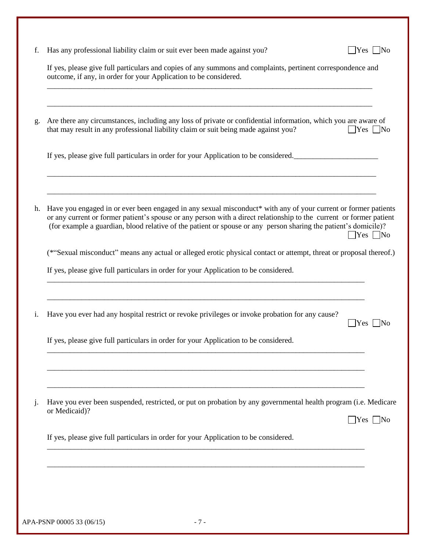|    | Has any professional liability claim or suit ever been made against you?<br>$\left  \text{Yes} \right $ No                                                                                                                                                                                                                                                                       |
|----|----------------------------------------------------------------------------------------------------------------------------------------------------------------------------------------------------------------------------------------------------------------------------------------------------------------------------------------------------------------------------------|
|    | If yes, please give full particulars and copies of any summons and complaints, pertinent correspondence and<br>outcome, if any, in order for your Application to be considered.                                                                                                                                                                                                  |
| g. | Are there any circumstances, including any loss of private or confidential information, which you are aware of<br>that may result in any professional liability claim or suit being made against you?<br>$ $ Yes $ $ No                                                                                                                                                          |
|    | If yes, please give full particulars in order for your Application to be considered.                                                                                                                                                                                                                                                                                             |
| h. | Have you engaged in or ever been engaged in any sexual misconduct* with any of your current or former patients<br>or any current or former patient's spouse or any person with a direct relationship to the current or former patient<br>(for example a guardian, blood relative of the patient or spouse or any person sharing the patient's domicile)?<br>$\Box$ Yes $\Box$ No |
|    | (*"Sexual misconduct" means any actual or alleged erotic physical contact or attempt, threat or proposal thereof.)                                                                                                                                                                                                                                                               |
|    | If yes, please give full particulars in order for your Application to be considered.                                                                                                                                                                                                                                                                                             |
|    | Have you ever had any hospital restrict or revoke privileges or invoke probation for any cause?<br>$\blacksquare$ Yes $\blacksquare$ No                                                                                                                                                                                                                                          |
|    | If yes, please give full particulars in order for your Application to be considered.                                                                                                                                                                                                                                                                                             |
|    |                                                                                                                                                                                                                                                                                                                                                                                  |
| j. | Have you ever been suspended, restricted, or put on probation by any governmental health program (i.e. Medicare<br>or Medicaid)?<br>$\Box$ Yes $\Box$ No                                                                                                                                                                                                                         |
|    | If yes, please give full particulars in order for your Application to be considered.                                                                                                                                                                                                                                                                                             |
|    |                                                                                                                                                                                                                                                                                                                                                                                  |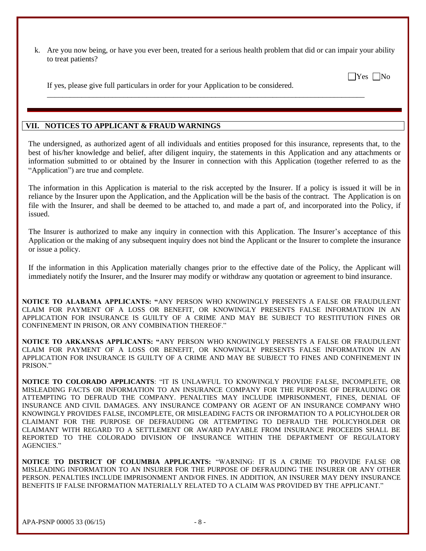k. Are you now being, or have you ever been, treated for a serious health problem that did or can impair your ability to treat patients?

\_\_\_\_\_\_\_\_\_\_\_\_\_\_\_\_\_\_\_\_\_\_\_\_\_\_\_\_\_\_\_\_\_\_\_\_\_\_\_\_\_\_\_\_\_\_\_\_\_\_\_\_\_\_\_\_\_\_\_\_\_\_\_\_\_\_\_\_\_\_\_\_\_\_\_\_\_\_\_\_\_\_\_

 $\Box$ Yes  $\Box$ No

If yes, please give full particulars in order for your Application to be considered.

#### **VII. NOTICES TO APPLICANT & FRAUD WARNINGS**

The undersigned, as authorized agent of all individuals and entities proposed for this insurance, represents that, to the best of his/her knowledge and belief, after diligent inquiry, the statements in this Application and any attachments or information submitted to or obtained by the Insurer in connection with this Application (together referred to as the "Application") are true and complete.

The information in this Application is material to the risk accepted by the Insurer. If a policy is issued it will be in reliance by the Insurer upon the Application, and the Application will be the basis of the contract. The Application is on file with the Insurer, and shall be deemed to be attached to, and made a part of, and incorporated into the Policy, if issued.

The Insurer is authorized to make any inquiry in connection with this Application. The Insurer's acceptance of this Application or the making of any subsequent inquiry does not bind the Applicant or the Insurer to complete the insurance or issue a policy.

If the information in this Application materially changes prior to the effective date of the Policy, the Applicant will immediately notify the Insurer, and the Insurer may modify or withdraw any quotation or agreement to bind insurance.

**NOTICE TO ALABAMA APPLICANTS: "**ANY PERSON WHO KNOWINGLY PRESENTS A FALSE OR FRAUDULENT CLAIM FOR PAYMENT OF A LOSS OR BENEFIT, OR KNOWINGLY PRESENTS FALSE INFORMATION IN AN APPLICATION FOR INSURANCE IS GUILTY OF A CRIME AND MAY BE SUBJECT TO RESTITUTION FINES OR CONFINEMENT IN PRISON, OR ANY COMBINATION THEREOF."

**NOTICE TO ARKANSAS APPLICANTS: "**ANY PERSON WHO KNOWINGLY PRESENTS A FALSE OR FRAUDULENT CLAIM FOR PAYMENT OF A LOSS OR BENEFIT, OR KNOWINGLY PRESENTS FALSE INFORMATION IN AN APPLICATION FOR INSURANCE IS GUILTY OF A CRIME AND MAY BE SUBJECT TO FINES AND CONFINEMENT IN PRISON<sup>"</sup>

**NOTICE TO COLORADO APPLICANTS**: "IT IS UNLAWFUL TO KNOWINGLY PROVIDE FALSE, INCOMPLETE, OR MISLEADING FACTS OR INFORMATION TO AN INSURANCE COMPANY FOR THE PURPOSE OF DEFRAUDING OR ATTEMPTING TO DEFRAUD THE COMPANY. PENALTIES MAY INCLUDE IMPRISONMENT, FINES, DENIAL OF INSURANCE AND CIVIL DAMAGES. ANY INSURANCE COMPANY OR AGENT OF AN INSURANCE COMPANY WHO KNOWINGLY PROVIDES FALSE, INCOMPLETE, OR MISLEADING FACTS OR INFORMATION TO A POLICYHOLDER OR CLAIMANT FOR THE PURPOSE OF DEFRAUDING OR ATTEMPTING TO DEFRAUD THE POLICYHOLDER OR CLAIMANT WITH REGARD TO A SETTLEMENT OR AWARD PAYABLE FROM INSURANCE PROCEEDS SHALL BE REPORTED TO THE COLORADO DIVISION OF INSURANCE WITHIN THE DEPARTMENT OF REGULATORY AGENCIES."

**NOTICE TO DISTRICT OF COLUMBIA APPLICANTS:** "WARNING: IT IS A CRIME TO PROVIDE FALSE OR MISLEADING INFORMATION TO AN INSURER FOR THE PURPOSE OF DEFRAUDING THE INSURER OR ANY OTHER PERSON. PENALTIES INCLUDE IMPRISONMENT AND/OR FINES. IN ADDITION, AN INSURER MAY DENY INSURANCE BENEFITS IF FALSE INFORMATION MATERIALLY RELATED TO A CLAIM WAS PROVIDED BY THE APPLICANT."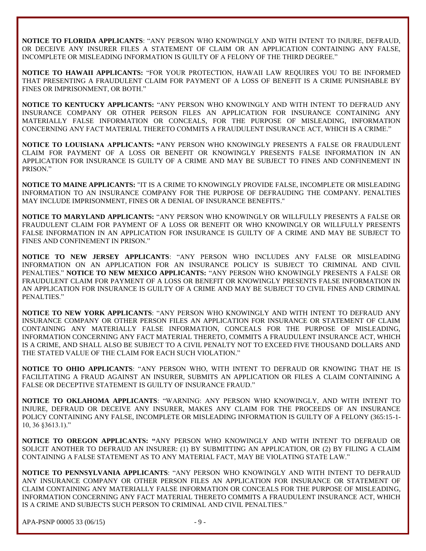**NOTICE TO FLORIDA APPLICANTS**: "ANY PERSON WHO KNOWINGLY AND WITH INTENT TO INJURE, DEFRAUD, OR DECEIVE ANY INSURER FILES A STATEMENT OF CLAIM OR AN APPLICATION CONTAINING ANY FALSE, INCOMPLETE OR MISLEADING INFORMATION IS GUILTY OF A FELONY OF THE THIRD DEGREE."

**NOTICE TO HAWAII APPLICANTS:** "FOR YOUR PROTECTION, HAWAII LAW REQUIRES YOU TO BE INFORMED THAT PRESENTING A FRAUDULENT CLAIM FOR PAYMENT OF A LOSS OF BENEFIT IS A CRIME PUNISHABLE BY FINES OR IMPRISONMENT, OR BOTH."

**NOTICE TO KENTUCKY APPLICANTS:** "ANY PERSON WHO KNOWINGLY AND WITH INTENT TO DEFRAUD ANY INSURANCE COMPANY OR OTHER PERSON FILES AN APPLICATION FOR INSURANCE CONTAINING ANY MATERIALLY FALSE INFORMATION OR CONCEALS, FOR THE PURPOSE OF MISLEADING, INFORMATION CONCERNING ANY FACT MATERIAL THERETO COMMITS A FRAUDULENT INSURANCE ACT, WHICH IS A CRIME."

**NOTICE TO LOUISIANA APPLICANTS: "**ANY PERSON WHO KNOWINGLY PRESENTS A FALSE OR FRAUDULENT CLAIM FOR PAYMENT OF A LOSS OR BENEFIT OR KNOWINGLY PRESENTS FALSE INFORMATION IN AN APPLICATION FOR INSURANCE IS GUILTY OF A CRIME AND MAY BE SUBJECT TO FINES AND CONFINEMENT IN PRISON."

**NOTICE TO MAINE APPLICANTS:** "IT IS A CRIME TO KNOWINGLY PROVIDE FALSE, INCOMPLETE OR MISLEADING INFORMATION TO AN INSURANCE COMPANY FOR THE PURPOSE OF DEFRAUDING THE COMPANY. PENALTIES MAY INCLUDE IMPRISONMENT, FINES OR A DENIAL OF INSURANCE BENEFITS."

**NOTICE TO MARYLAND APPLICANTS:** "ANY PERSON WHO KNOWINGLY OR WILLFULLY PRESENTS A FALSE OR FRAUDULENT CLAIM FOR PAYMENT OF A LOSS OR BENEFIT OR WHO KNOWINGLY OR WILLFULLY PRESENTS FALSE INFORMATION IN AN APPLICATION FOR INSURANCE IS GUILTY OF A CRIME AND MAY BE SUBJECT TO FINES AND CONFINEMENT IN PRISON."

**NOTICE TO NEW JERSEY APPLICANTS**: "ANY PERSON WHO INCLUDES ANY FALSE OR MISLEADING INFORMATION ON AN APPLICATION FOR AN INSURANCE POLICY IS SUBJECT TO CRIMINAL AND CIVIL PENALTIES." **NOTICE TO NEW MEXICO APPLICANTS:** "ANY PERSON WHO KNOWINGLY PRESENTS A FALSE OR FRAUDULENT CLAIM FOR PAYMENT OF A LOSS OR BENEFIT OR KNOWINGLY PRESENTS FALSE INFORMATION IN AN APPLICATION FOR INSURANCE IS GUILTY OF A CRIME AND MAY BE SUBJECT TO CIVIL FINES AND CRIMINAL PENALTIES."

**NOTICE TO NEW YORK APPLICANTS**: "ANY PERSON WHO KNOWINGLY AND WITH INTENT TO DEFRAUD ANY INSURANCE COMPANY OR OTHER PERSON FILES AN APPLICATION FOR INSURANCE OR STATEMENT OF CLAIM CONTAINING ANY MATERIALLY FALSE INFORMATION, CONCEALS FOR THE PURPOSE OF MISLEADING, INFORMATION CONCERNING ANY FACT MATERIAL THERETO, COMMITS A FRAUDULENT INSURANCE ACT, WHICH IS A CRIME, AND SHALL ALSO BE SUBJECT TO A CIVIL PENALTY NOT TO EXCEED FIVE THOUSAND DOLLARS AND THE STATED VALUE OF THE CLAIM FOR EACH SUCH VIOLATION."

**NOTICE TO OHIO APPLICANTS**: "ANY PERSON WHO, WITH INTENT TO DEFRAUD OR KNOWING THAT HE IS FACILITATING A FRAUD AGAINST AN INSURER, SUBMITS AN APPLICATION OR FILES A CLAIM CONTAINING A FALSE OR DECEPTIVE STATEMENT IS GUILTY OF INSURANCE FRAUD."

**NOTICE TO OKLAHOMA APPLICANTS**: "WARNING: ANY PERSON WHO KNOWINGLY, AND WITH INTENT TO INJURE, DEFRAUD OR DECEIVE ANY INSURER, MAKES ANY CLAIM FOR THE PROCEEDS OF AN INSURANCE POLICY CONTAINING ANY FALSE, INCOMPLETE OR MISLEADING INFORMATION IS GUILTY OF A FELONY (365:15-1- 10, 36 §3613.1)."

**NOTICE TO OREGON APPLICANTS: "**ANY PERSON WHO KNOWINGLY AND WITH INTENT TO DEFRAUD OR SOLICIT ANOTHER TO DEFRAUD AN INSURER: (1) BY SUBMITTING AN APPLICATION, OR (2) BY FILING A CLAIM CONTAINING A FALSE STATEMENT AS TO ANY MATERIAL FACT, MAY BE VIOLATING STATE LAW."

**NOTICE TO PENNSYLVANIA APPLICANTS**: "ANY PERSON WHO KNOWINGLY AND WITH INTENT TO DEFRAUD ANY INSURANCE COMPANY OR OTHER PERSON FILES AN APPLICATION FOR INSURANCE OR STATEMENT OF CLAIM CONTAINING ANY MATERIALLY FALSE INFORMATION OR CONCEALS FOR THE PURPOSE OF MISLEADING, INFORMATION CONCERNING ANY FACT MATERIAL THERETO COMMITS A FRAUDULENT INSURANCE ACT, WHICH IS A CRIME AND SUBJECTS SUCH PERSON TO CRIMINAL AND CIVIL PENALTIES."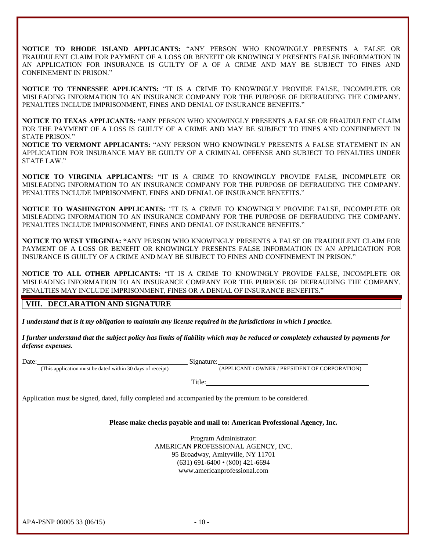**NOTICE TO RHODE ISLAND APPLICANTS:** "ANY PERSON WHO KNOWINGLY PRESENTS A FALSE OR FRAUDULENT CLAIM FOR PAYMENT OF A LOSS OR BENEFIT OR KNOWINGLY PRESENTS FALSE INFORMATION IN AN APPLICATION FOR INSURANCE IS GUILTY OF A OF A CRIME AND MAY BE SUBJECT TO FINES AND CONFINEMENT IN PRISON."

**NOTICE TO TENNESSEE APPLICANTS:** "IT IS A CRIME TO KNOWINGLY PROVIDE FALSE, INCOMPLETE OR MISLEADING INFORMATION TO AN INSURANCE COMPANY FOR THE PURPOSE OF DEFRAUDING THE COMPANY. PENALTIES INCLUDE IMPRISONMENT, FINES AND DENIAL OF INSURANCE BENEFITS."

**NOTICE TO TEXAS APPLICANTS: "**ANY PERSON WHO KNOWINGLY PRESENTS A FALSE OR FRAUDULENT CLAIM FOR THE PAYMENT OF A LOSS IS GUILTY OF A CRIME AND MAY BE SUBJECT TO FINES AND CONFINEMENT IN STATE PRISON."

**NOTICE TO VERMONT APPLICANTS:** "ANY PERSON WHO KNOWINGLY PRESENTS A FALSE STATEMENT IN AN APPLICATION FOR INSURANCE MAY BE GUILTY OF A CRIMINAL OFFENSE AND SUBJECT TO PENALTIES UNDER STATE LAW."

**NOTICE TO VIRGINIA APPLICANTS: "**IT IS A CRIME TO KNOWINGLY PROVIDE FALSE, INCOMPLETE OR MISLEADING INFORMATION TO AN INSURANCE COMPANY FOR THE PURPOSE OF DEFRAUDING THE COMPANY. PENALTIES INCLUDE IMPRISONMENT, FINES AND DENIAL OF INSURANCE BENEFITS."

**NOTICE TO WASHINGTON APPLICANTS:** "IT IS A CRIME TO KNOWINGLY PROVIDE FALSE, INCOMPLETE OR MISLEADING INFORMATION TO AN INSURANCE COMPANY FOR THE PURPOSE OF DEFRAUDING THE COMPANY. PENALTIES INCLUDE IMPRISONMENT, FINES AND DENIAL OF INSURANCE BENEFITS."

**NOTICE TO WEST VIRGINIA: "**ANY PERSON WHO KNOWINGLY PRESENTS A FALSE OR FRAUDULENT CLAIM FOR PAYMENT OF A LOSS OR BENEFIT OR KNOWINGLY PRESENTS FALSE INFORMATION IN AN APPLICATION FOR INSURANCE IS GUILTY OF A CRIME AND MAY BE SUBJECT TO FINES AND CONFINEMENT IN PRISON."

**NOTICE TO ALL OTHER APPLICANTS:** "IT IS A CRIME TO KNOWINGLY PROVIDE FALSE, INCOMPLETE OR MISLEADING INFORMATION TO AN INSURANCE COMPANY FOR THE PURPOSE OF DEFRAUDING THE COMPANY. PENALTIES MAY INCLUDE IMPRISONMENT, FINES OR A DENIAL OF INSURANCE BENEFITS."

#### **VIII. DECLARATION AND SIGNATURE**

*I understand that is it my obligation to maintain any license required in the jurisdictions in which I practice.*

*I further understand that the subject policy has limits of liability which may be reduced or completely exhausted by payments for defense expenses.*

Date: This application must be dated within 30 days of receipt) Signature:

(APPLICANT / OWNER / PRESIDENT OF CORPORATION)

Title:

Application must be signed, dated, fully completed and accompanied by the premium to be considered.

**Please make checks payable and mail to: American Professional Agency, Inc.**

Program Administrator: AMERICAN PROFESSIONAL AGENCY, INC. 95 Broadway, Amityville, NY 11701 (631) 691-6400 • (800) 421-6694 [www.americanprofessional.com](http://www.americanprofessional.com/)